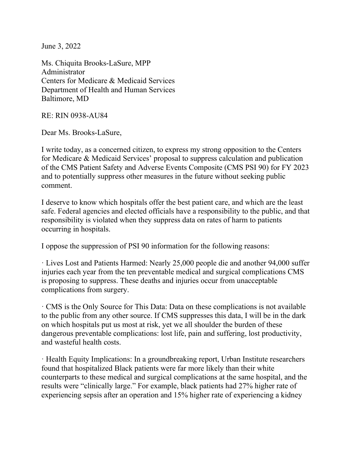June 3, 2022

Ms. Chiquita Brooks-LaSure, MPP Administrator Centers for Medicare & Medicaid Services Department of Health and Human Services Baltimore, MD

RE: RIN 0938-AU84

Dear Ms. Brooks-LaSure,

I write today, as a concerned citizen, to express my strong opposition to the Centers for Medicare & Medicaid Services' proposal to suppress calculation and publication of the CMS Patient Safety and Adverse Events Composite (CMS PSI 90) for FY 2023 and to potentially suppress other measures in the future without seeking public comment.

I deserve to know which hospitals offer the best patient care, and which are the least safe. Federal agencies and elected officials have a responsibility to the public, and that responsibility is violated when they suppress data on rates of harm to patients occurring in hospitals.

I oppose the suppression of PSI 90 information for the following reasons:

· Lives Lost and Patients Harmed: Nearly 25,000 people die and another 94,000 suffer injuries each year from the ten preventable medical and surgical complications CMS is proposing to suppress. These deaths and injuries occur from unacceptable complications from surgery.

· CMS is the Only Source for This Data: Data on these complications is not available to the public from any other source. If CMS suppresses this data, I will be in the dark on which hospitals put us most at risk, yet we all shoulder the burden of these dangerous preventable complications: lost life, pain and suffering, lost productivity, and wasteful health costs.

· Health Equity Implications: In a groundbreaking report, Urban Institute researchers found that hospitalized Black patients were far more likely than their white counterparts to these medical and surgical complications at the same hospital, and the results were "clinically large." For example, black patients had 27% higher rate of experiencing sepsis after an operation and 15% higher rate of experiencing a kidney